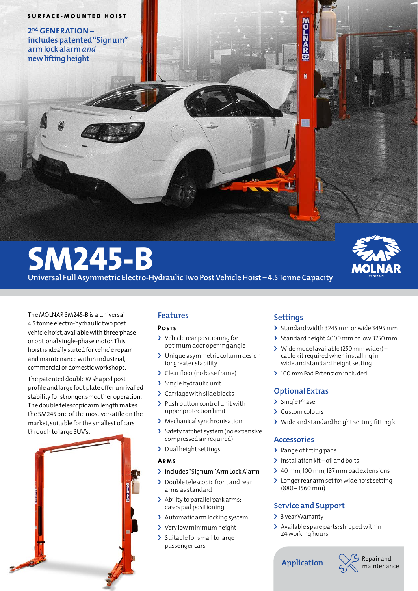#### **SURFACE-MOUNTED HOIST**

**2nd GENERATION – includes patented "Signum" arm lock alarm** *and* **new lifting height**

# **SM245-B**

**Universal Full Asymmetric Electro-Hydraulic Two Post Vehicle Hoist – 4.5 Tonne Capacity**

The MOLNAR SM245-B is a universal 4.5 tonne electro-hydraulic two post vehicle hoist, available with three phase or optional single-phase motor. This hoist is ideally suited for vehicle repair and maintenance within industrial, commercial or domestic workshops.

The patented double W shaped post profile and large foot plate offer unrivalled stability for stronger, smoother operation. The double telescopic arm length makes the SM245 one of the most versatile on the market, suitable for the smallest of cars through to large SUV's.



# **Features**

### **Posts**

- > Vehicle rear positioning for optimum door opening angle
- > Unique asymmetric column design for greater stability
- › Clear floor(no base frame)
- > Single hydraulic unit
- > Carriage with slide blocks
- > Push button control unit with upper protection limit
- > Mechanical synchronisation
- › Safety ratchet system (no expensive compressed air required)
- › Dual height settings

### **Arms**

- › Includes"Signum"Arm LockAlarm
- › Double telescopic front and rear arms as standard
- › Ability to parallel park arms; eases pad positioning
- > Automatic arm locking system
- › Very low minimum height
- > Suitable for small to large passenger cars

# **Settings**

**SOJRDAR** 

R

- > Standard width 3245 mm or wide 3495 mm
- > Standard height 4000 mm or low 3750 mm
- › Wide model available (250 mm wider) cable kit required when installing in wide and standard height setting
- > 100 mm Pad Extension included

## **Optional Extras**

- > Single Phase
- › Custom colours
- › Wide and standard height setting fitting kit

## **Accessories**

- > Range of lifting pads
- > Installation kit oil and bolts
- › 40 mm,100 mm,187 mm pad extensions
- > Longer rear arm set for wide hoist setting (880 – 1560 mm)

## **Service and Support**

- > 3 year Warranty
- > Available spare parts; shipped within 24working hours

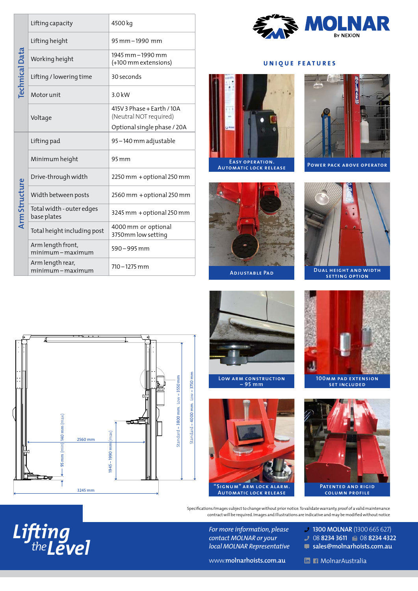| <b>Technical Data</b>       | Lifting capacity                                | 4500 kg                                                                                                                  |
|-----------------------------|-------------------------------------------------|--------------------------------------------------------------------------------------------------------------------------|
|                             | Lifting height                                  | 95 mm - 1990 mm                                                                                                          |
|                             | Working height                                  | 1945 mm - 1990 mm<br>(+100 mm extensions)                                                                                |
|                             | Lifting / lowering time                         | 30 seconds                                                                                                               |
|                             | Motor unit                                      | 3.0 kW                                                                                                                   |
|                             | Voltage                                         | 415V 3 Phase + Earth / 10A<br>(Neutral NOT required)<br>Optional single phase / 20A                                      |
| <b>Arm Structure</b>        | Lifting pad                                     | 95-140 mm adjustable                                                                                                     |
|                             | Minimum height                                  | 95 mm                                                                                                                    |
|                             | Drive-through width                             | 2250 mm + optional 250 mm                                                                                                |
|                             | Width between posts                             | 2560 mm + optional 250 mm                                                                                                |
|                             | Total width - outer edges<br>base plates        | 3245 mm + optional 250 mm                                                                                                |
|                             | Total height including post                     | 4000 mm or optional<br>3750mm low setting                                                                                |
|                             | Arm length front,<br>minimum-maximum            | 590 - 995 mm                                                                                                             |
|                             | Arm length rear,<br>minimum-maximum             | 710 – 1275 mm                                                                                                            |
| đо                          | Д<br>$-$ 95 mm (min) $ 140$ mm (max)<br>2560 mm | ψ<br>$Standard = 4000$ mm. $Low = 3750$ mm<br>$\frac{1}{2}$ tandard = 3800 mm. Low = 3550 mm<br>$ 945 - 1990$ mm $ $ max |
|                             | 3245 mm                                         |                                                                                                                          |
|                             |                                                 | Specif                                                                                                                   |
| Lifting<br>the <b>Level</b> |                                                 |                                                                                                                          |



#### **UNIQUE FEATURES**





**Adjustable Pad**

**Low arm construction – 95 mm**



**POWER PACK ABOVE OPERATOR** 







**100mm pad extension set included**



Specifications/Images subject to change without prior notice. To validate warranty, proof of a valid maintenance contract will be required. Images and Illustrations are indicative and may be modified without notice

> *For more information, please contact MOLNAR or your local MOLNAR Representative*

**"Signum" arm lock alarm. Automatic lock release** 

> **1300 MOLNAR** (1300 665 627) 08 **8234 3611**  08 **8234 4322**

www.**molnarhoists.com.au**

**sales@molnarhoists.com.au**

**M MolnarAustralia**